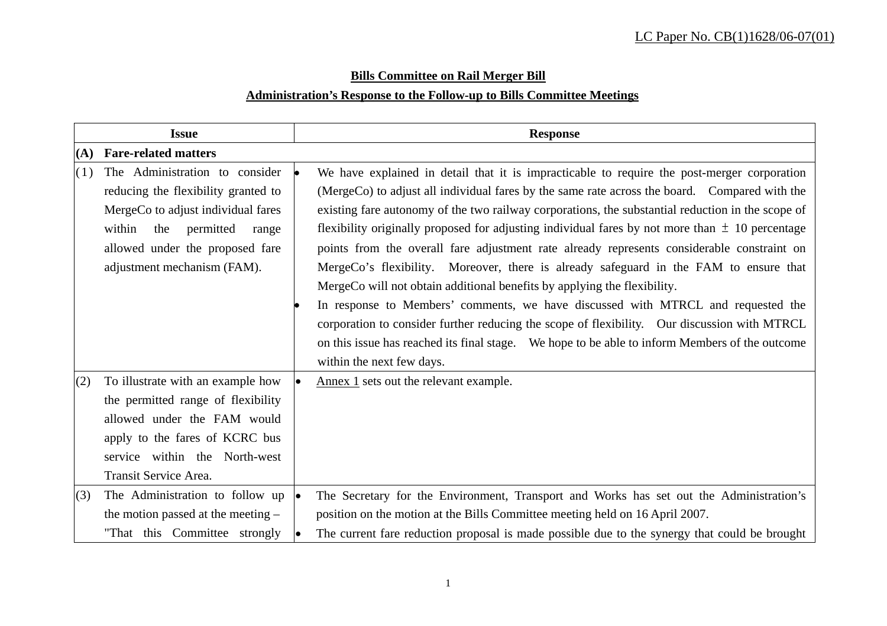# **Bills Committee on Rail Merger Bill Administration's Response to the Follow-up to Bills Committee Meetings**

|     | <b>Issue</b>                                                                                                                                                                                                         | <b>Response</b>                                                                                                                                                                                                                                                                                                                                                                                                                                                                                                                                                                                                                                                                                                                                                                                                                                                                                                                                                   |  |  |  |  |  |
|-----|----------------------------------------------------------------------------------------------------------------------------------------------------------------------------------------------------------------------|-------------------------------------------------------------------------------------------------------------------------------------------------------------------------------------------------------------------------------------------------------------------------------------------------------------------------------------------------------------------------------------------------------------------------------------------------------------------------------------------------------------------------------------------------------------------------------------------------------------------------------------------------------------------------------------------------------------------------------------------------------------------------------------------------------------------------------------------------------------------------------------------------------------------------------------------------------------------|--|--|--|--|--|
| (A) | <b>Fare-related matters</b>                                                                                                                                                                                          |                                                                                                                                                                                                                                                                                                                                                                                                                                                                                                                                                                                                                                                                                                                                                                                                                                                                                                                                                                   |  |  |  |  |  |
| (1) | The Administration to consider<br>reducing the flexibility granted to<br>MergeCo to adjust individual fares<br>within<br>the<br>permitted<br>range<br>allowed under the proposed fare<br>adjustment mechanism (FAM). | We have explained in detail that it is impracticable to require the post-merger corporation<br>(MergeCo) to adjust all individual fares by the same rate across the board. Compared with the<br>existing fare autonomy of the two railway corporations, the substantial reduction in the scope of<br>flexibility originally proposed for adjusting individual fares by not more than $\pm$ 10 percentage<br>points from the overall fare adjustment rate already represents considerable constraint on<br>MergeCo's flexibility. Moreover, there is already safeguard in the FAM to ensure that<br>MergeCo will not obtain additional benefits by applying the flexibility.<br>In response to Members' comments, we have discussed with MTRCL and requested the<br>corporation to consider further reducing the scope of flexibility. Our discussion with MTRCL<br>on this issue has reached its final stage. We hope to be able to inform Members of the outcome |  |  |  |  |  |
| (2) | To illustrate with an example how<br>the permitted range of flexibility<br>allowed under the FAM would<br>apply to the fares of KCRC bus<br>service within the North-west<br>Transit Service Area.                   | within the next few days.<br>Annex 1 sets out the relevant example.                                                                                                                                                                                                                                                                                                                                                                                                                                                                                                                                                                                                                                                                                                                                                                                                                                                                                               |  |  |  |  |  |
| (3) | The Administration to follow up<br>the motion passed at the meeting $-$<br>"That this Committee strongly                                                                                                             | The Secretary for the Environment, Transport and Works has set out the Administration's<br>position on the motion at the Bills Committee meeting held on 16 April 2007.<br>The current fare reduction proposal is made possible due to the synergy that could be brought                                                                                                                                                                                                                                                                                                                                                                                                                                                                                                                                                                                                                                                                                          |  |  |  |  |  |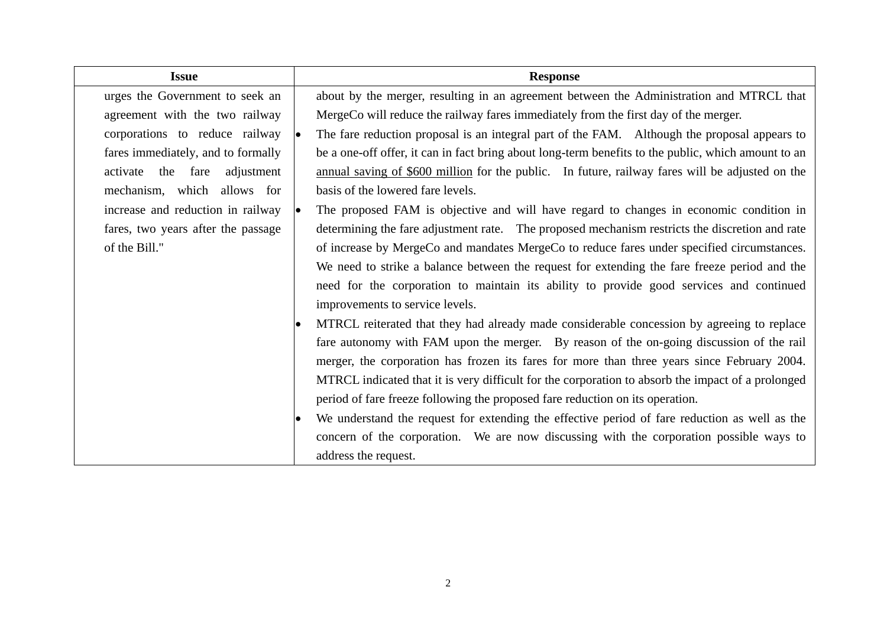| <b>Issue</b>                       |                                                                                                    | <b>Response</b>                                                                                     |  |  |  |  |
|------------------------------------|----------------------------------------------------------------------------------------------------|-----------------------------------------------------------------------------------------------------|--|--|--|--|
| urges the Government to seek an    |                                                                                                    | about by the merger, resulting in an agreement between the Administration and MTRCL that            |  |  |  |  |
| agreement with the two railway     |                                                                                                    | MergeCo will reduce the railway fares immediately from the first day of the merger.                 |  |  |  |  |
| corporations to reduce railway     | The fare reduction proposal is an integral part of the FAM. Although the proposal appears to<br>l. |                                                                                                     |  |  |  |  |
| fares immediately, and to formally |                                                                                                    | be a one-off offer, it can in fact bring about long-term benefits to the public, which amount to an |  |  |  |  |
| activate the fare adjustment       |                                                                                                    | annual saving of \$600 million for the public. In future, railway fares will be adjusted on the     |  |  |  |  |
| mechanism, which allows for        |                                                                                                    | basis of the lowered fare levels.                                                                   |  |  |  |  |
| increase and reduction in railway  | l.                                                                                                 | The proposed FAM is objective and will have regard to changes in economic condition in              |  |  |  |  |
| fares, two years after the passage |                                                                                                    | determining the fare adjustment rate. The proposed mechanism restricts the discretion and rate      |  |  |  |  |
| of the Bill."                      |                                                                                                    | of increase by MergeCo and mandates MergeCo to reduce fares under specified circumstances.          |  |  |  |  |
|                                    |                                                                                                    | We need to strike a balance between the request for extending the fare freeze period and the        |  |  |  |  |
|                                    |                                                                                                    | need for the corporation to maintain its ability to provide good services and continued             |  |  |  |  |
|                                    |                                                                                                    | improvements to service levels.                                                                     |  |  |  |  |
|                                    |                                                                                                    | MTRCL reiterated that they had already made considerable concession by agreeing to replace          |  |  |  |  |
|                                    |                                                                                                    | fare autonomy with FAM upon the merger. By reason of the on-going discussion of the rail            |  |  |  |  |
|                                    |                                                                                                    | merger, the corporation has frozen its fares for more than three years since February 2004.         |  |  |  |  |
|                                    |                                                                                                    | MTRCL indicated that it is very difficult for the corporation to absorb the impact of a prolonged   |  |  |  |  |
|                                    |                                                                                                    | period of fare freeze following the proposed fare reduction on its operation.                       |  |  |  |  |
|                                    | $\bullet$                                                                                          | We understand the request for extending the effective period of fare reduction as well as the       |  |  |  |  |
|                                    |                                                                                                    | concern of the corporation. We are now discussing with the corporation possible ways to             |  |  |  |  |
|                                    |                                                                                                    | address the request.                                                                                |  |  |  |  |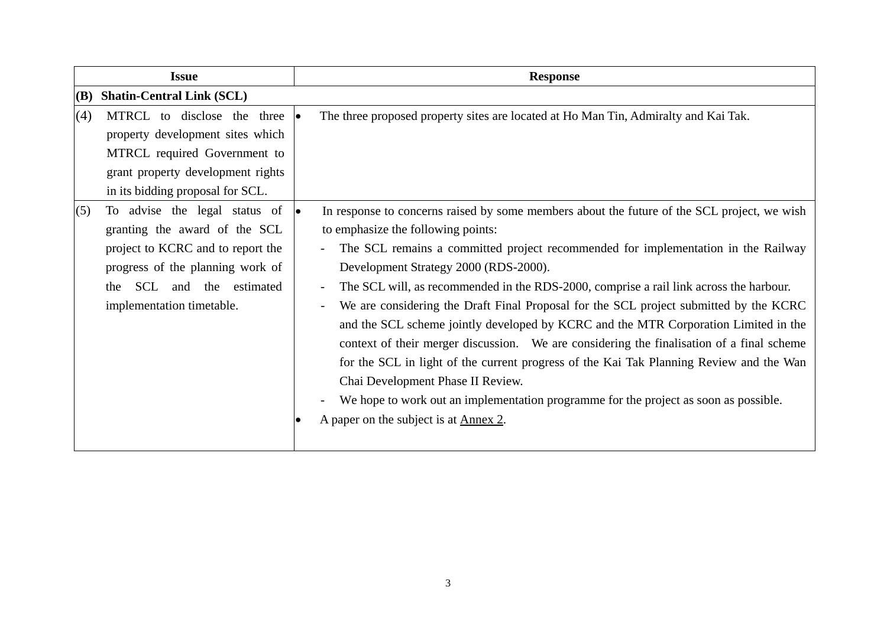| <b>Issue</b>                                                                                                                                                                                                          | <b>Response</b>                                                                                                                                                                                                                                                                                                                                                                                                                                                                                                                                                                                                                                                                                                                                                                                                                                                                                                 |  |  |  |  |
|-----------------------------------------------------------------------------------------------------------------------------------------------------------------------------------------------------------------------|-----------------------------------------------------------------------------------------------------------------------------------------------------------------------------------------------------------------------------------------------------------------------------------------------------------------------------------------------------------------------------------------------------------------------------------------------------------------------------------------------------------------------------------------------------------------------------------------------------------------------------------------------------------------------------------------------------------------------------------------------------------------------------------------------------------------------------------------------------------------------------------------------------------------|--|--|--|--|
| <b>Shatin-Central Link (SCL)</b><br>(B)                                                                                                                                                                               |                                                                                                                                                                                                                                                                                                                                                                                                                                                                                                                                                                                                                                                                                                                                                                                                                                                                                                                 |  |  |  |  |
| (4)<br>MTRCL to disclose the three $\bullet$<br>property development sites which<br>MTRCL required Government to<br>grant property development rights<br>in its bidding proposal for SCL.                             | The three proposed property sites are located at Ho Man Tin, Admiralty and Kai Tak.                                                                                                                                                                                                                                                                                                                                                                                                                                                                                                                                                                                                                                                                                                                                                                                                                             |  |  |  |  |
| To advise the legal status of $\bullet$<br>(5)<br>granting the award of the SCL<br>project to KCRC and to report the<br>progress of the planning work of<br>SCL and the estimated<br>the<br>implementation timetable. | In response to concerns raised by some members about the future of the SCL project, we wish<br>to emphasize the following points:<br>The SCL remains a committed project recommended for implementation in the Railway<br>Development Strategy 2000 (RDS-2000).<br>The SCL will, as recommended in the RDS-2000, comprise a rail link across the harbour.<br>We are considering the Draft Final Proposal for the SCL project submitted by the KCRC<br>and the SCL scheme jointly developed by KCRC and the MTR Corporation Limited in the<br>context of their merger discussion. We are considering the finalisation of a final scheme<br>for the SCL in light of the current progress of the Kai Tak Planning Review and the Wan<br>Chai Development Phase II Review.<br>We hope to work out an implementation programme for the project as soon as possible.<br>A paper on the subject is at <u>Annex 2</u> . |  |  |  |  |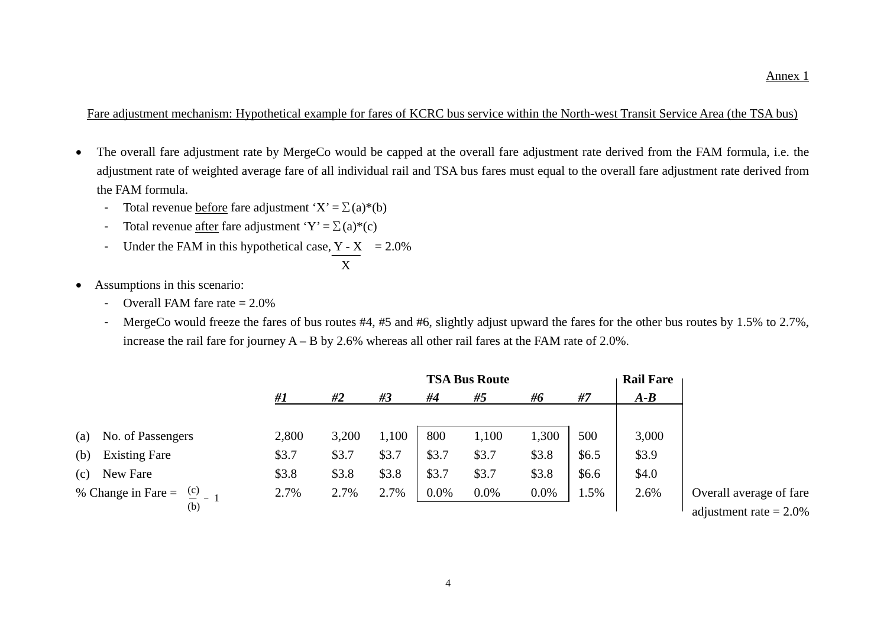Fare adjustment mechanism: Hypothetical example for fares of KCRC bus service within the North-west Transit Service Area (the TSA bus)

- The overall fare adjustment rate by MergeCo would be capped at the overall fare adjustment rate derived from the FAM formula, i.e. the adjustment rate of weighted average fare of all individual rail and TSA bus fares must equal to the overall fare adjustment rate derived from the FAM formula.
	- Total revenue before fare adjustment ' $X' = \sum (a)^*(b)$
	- Total revenue after fare adjustment 'Y' =  $\Sigma$  (a)\*(c)
	- Under the FAM in this hypothetical case,  $Y X = 2.0\%$

$$
\frac{1}{\sqrt{1-\frac{1}{2}}}
$$

- Assumptions in this scenario:
	- Overall FAM fare rate  $= 2.0\%$
	- MergeCo would freeze the fares of bus routes #4, #5 and #6, slightly adjust upward the fares for the other bus routes by 1.5% to 2.7%, increase the rail fare for journey A – B by 2.6% whereas all other rail fares at the FAM rate of 2.0%.

|     |                                             |       |       |       | <b>TSA Bus Route</b> |       |       |       | <b>Rail Fare</b> |                                                      |
|-----|---------------------------------------------|-------|-------|-------|----------------------|-------|-------|-------|------------------|------------------------------------------------------|
|     |                                             | #1    | #2    | #3    | #4                   | #5    | #6    | #7    | $A - B$          |                                                      |
| (a) | No. of Passengers                           | 2,800 | 3,200 | 1,100 | 800                  | 1,100 | 1,300 | 500   | 3,000            |                                                      |
| (b) | <b>Existing Fare</b>                        | \$3.7 | \$3.7 | \$3.7 | \$3.7                | \$3.7 | \$3.8 | \$6.5 | \$3.9            |                                                      |
| (c) | New Fare                                    | \$3.8 | \$3.8 | \$3.8 | \$3.7                | \$3.7 | \$3.8 | \$6.6 | \$4.0            |                                                      |
|     | % Change in Fare = $\frac{c}{2}$ - 1<br>(b) | 2.7%  | 2.7%  | 2.7%  | 0.0%                 | 0.0%  | 0.0%  | 1.5%  | 2.6%             | Overall average of fare<br>adjustment rate $= 2.0\%$ |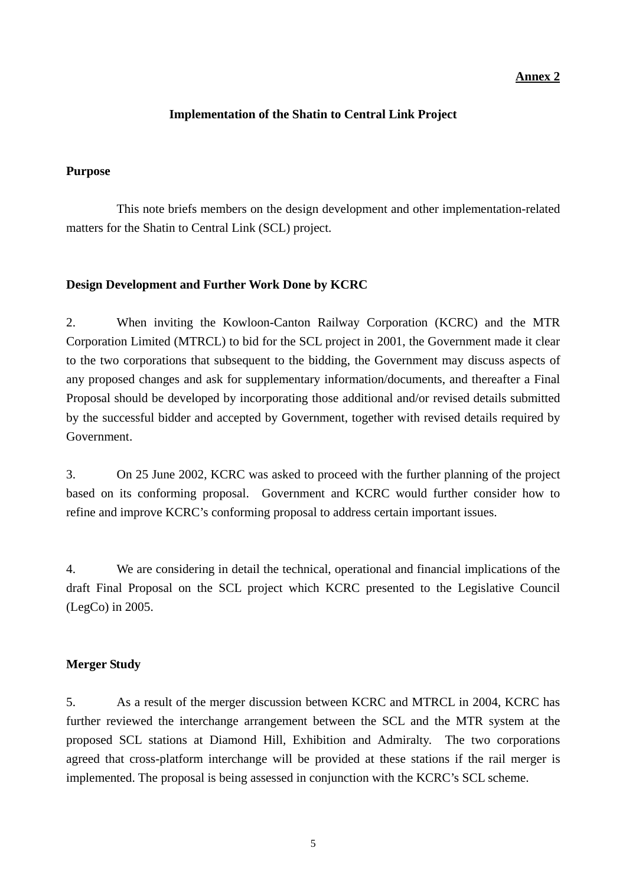# **Annex 2**

# **Implementation of the Shatin to Central Link Project**

#### **Purpose**

 This note briefs members on the design development and other implementation-related matters for the Shatin to Central Link (SCL) project.

#### **Design Development and Further Work Done by KCRC**

2. When inviting the Kowloon-Canton Railway Corporation (KCRC) and the MTR Corporation Limited (MTRCL) to bid for the SCL project in 2001, the Government made it clear to the two corporations that subsequent to the bidding, the Government may discuss aspects of any proposed changes and ask for supplementary information/documents, and thereafter a Final Proposal should be developed by incorporating those additional and/or revised details submitted by the successful bidder and accepted by Government, together with revised details required by Government.

3. On 25 June 2002, KCRC was asked to proceed with the further planning of the project based on its conforming proposal. Government and KCRC would further consider how to refine and improve KCRC's conforming proposal to address certain important issues.

4. We are considering in detail the technical, operational and financial implications of the draft Final Proposal on the SCL project which KCRC presented to the Legislative Council (LegCo) in 2005.

# **Merger Study**

5. As a result of the merger discussion between KCRC and MTRCL in 2004, KCRC has further reviewed the interchange arrangement between the SCL and the MTR system at the proposed SCL stations at Diamond Hill, Exhibition and Admiralty. The two corporations agreed that cross-platform interchange will be provided at these stations if the rail merger is implemented. The proposal is being assessed in conjunction with the KCRC's SCL scheme.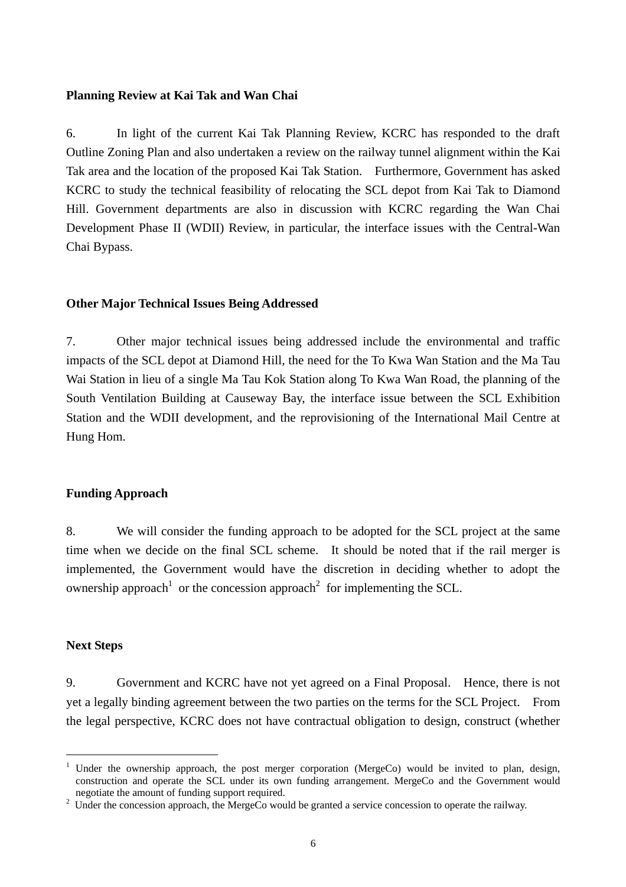#### **Planning Review at Kai Tak and Wan Chai**

6. In light of the current Kai Tak Planning Review, KCRC has responded to the draft Outline Zoning Plan and also undertaken a review on the railway tunnel alignment within the Kai Tak area and the location of the proposed Kai Tak Station. Furthermore, Government has asked KCRC to study the technical feasibility of relocating the SCL depot from Kai Tak to Diamond Hill. Government departments are also in discussion with KCRC regarding the Wan Chai Development Phase II (WDII) Review, in particular, the interface issues with the Central-Wan Chai Bypass.

# **Other Major Technical Issues Being Addressed**

7. Other major technical issues being addressed include the environmental and traffic impacts of the SCL depot at Diamond Hill, the need for the To Kwa Wan Station and the Ma Tau Wai Station in lieu of a single Ma Tau Kok Station along To Kwa Wan Road, the planning of the South Ventilation Building at Causeway Bay, the interface issue between the SCL Exhibition Station and the WDII development, and the reprovisioning of the International Mail Centre at Hung Hom.

# **Funding Approach**

8. We will consider the funding approach to be adopted for the SCL project at the same time when we decide on the final SCL scheme. It should be noted that if the rail merger is implemented, the Government would have the discretion in deciding whether to adopt the ownership approach<sup>1</sup> or the concession approach<sup>2</sup> for implementing the SCL.

#### **Next Steps**

 $\overline{a}$ 

9. Government and KCRC have not yet agreed on a Final Proposal. Hence, there is not yet a legally binding agreement between the two parties on the terms for the SCL Project. From the legal perspective, KCRC does not have contractual obligation to design, construct (whether

<sup>&</sup>lt;sup>1</sup> Under the ownership approach, the post merger corporation (MergeCo) would be invited to plan, design, construction and operate the SCL under its own funding arrangement. MergeCo and the Government would negotiate the amount of funding support required. negotiate the amount of funding support required.<br><sup>2</sup> Under the concession approach, the MergeCo would be granted a service concession to operate the railway.